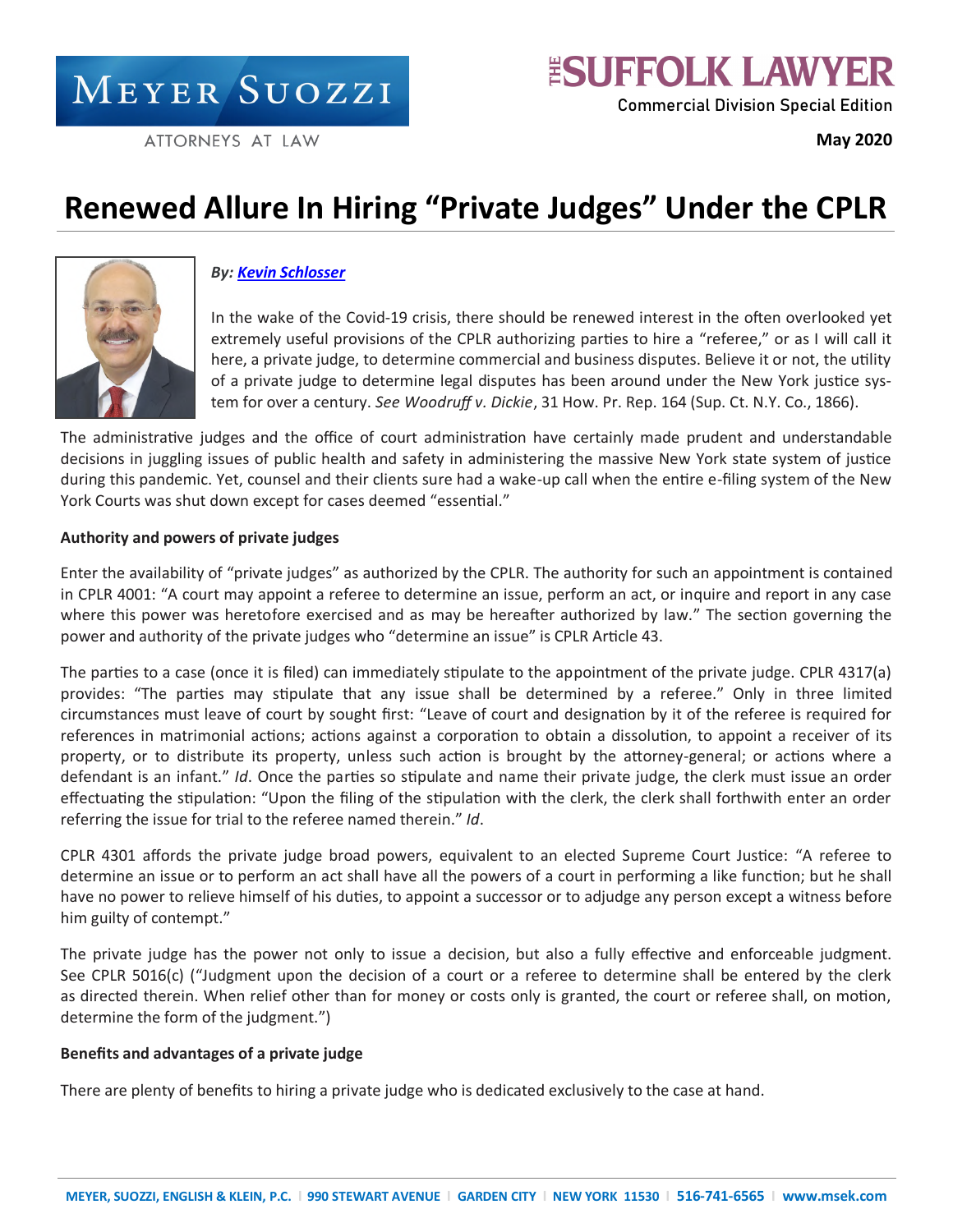MEYER SUOZZI

ATTORNEYS AT LAW

**May 2020**

# **Renewed Allure In Hiring "Private Judges" Under the CPLR**



# *By: [Kevin Schlosser](https://www.msek.com/attorney/schlosser-kevin/?sf_action=get_data&sf_data=results&_sfm_att_lastnameIndex=S)*

In the wake of the Covid-19 crisis, there should be renewed interest in the often overlooked yet extremely useful provisions of the CPLR authorizing parties to hire a "referee," or as I will call it here, a private judge, to determine commercial and business disputes. Believe it or not, the utility of a private judge to determine legal disputes has been around under the New York justice system for over a century. *See Woodruff v. Dickie*, 31 How. Pr. Rep. 164 (Sup. Ct. N.Y. Co., 1866).

The administrative judges and the office of court administration have certainly made prudent and understandable decisions in juggling issues of public health and safety in administering the massive New York state system of justice during this pandemic. Yet, counsel and their clients sure had a wake-up call when the entire e-filing system of the New York Courts was shut down except for cases deemed "essential."

## **Authority and powers of private judges**

Enter the availability of "private judges" as authorized by the CPLR. The authority for such an appointment is contained in CPLR 4001: "A court may appoint a referee to determine an issue, perform an act, or inquire and report in any case where this power was heretofore exercised and as may be hereafter authorized by law." The section governing the power and authority of the private judges who "determine an issue" is CPLR Article 43.

The parties to a case (once it is filed) can immediately stipulate to the appointment of the private judge. CPLR 4317(a) provides: "The parties may stipulate that any issue shall be determined by a referee." Only in three limited circumstances must leave of court by sought first: "Leave of court and designation by it of the referee is required for references in matrimonial actions; actions against a corporation to obtain a dissolution, to appoint a receiver of its property, or to distribute its property, unless such action is brought by the attorney-general; or actions where a defendant is an infant." *Id*. Once the parties so stipulate and name their private judge, the clerk must issue an order effectuating the stipulation: "Upon the filing of the stipulation with the clerk, the clerk shall forthwith enter an order referring the issue for trial to the referee named therein." *Id*.

CPLR 4301 affords the private judge broad powers, equivalent to an elected Supreme Court Justice: "A referee to determine an issue or to perform an act shall have all the powers of a court in performing a like function; but he shall have no power to relieve himself of his duties, to appoint a successor or to adjudge any person except a witness before him guilty of contempt."

The private judge has the power not only to issue a decision, but also a fully effective and enforceable judgment. See CPLR 5016(c) ("Judgment upon the decision of a court or a referee to determine shall be entered by the clerk as directed therein. When relief other than for money or costs only is granted, the court or referee shall, on motion, determine the form of the judgment.")

## **Benefits and advantages of a private judge**

There are plenty of benefits to hiring a private judge who is dedicated exclusively to the case at hand.